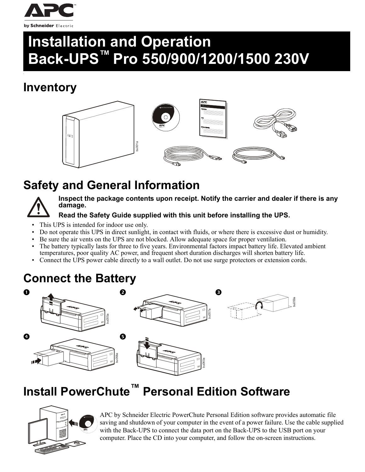

# **Installation and Operation Back-UPS™ Pro 550/900/1200/1500 230V**

# **Inventory**

c



# **Safety and General Information**



**Inspect the package contents upon receipt. Notify the carrier and dealer if there is any damage.**

### **Read the Safety Guide supplied with this unit before installing the UPS.**

- This UPS is intended for indoor use only.
- Do not operate this UPS in direct sunlight, in contact with fluids, or where there is excessive dust or humidity.
- Be sure the air vents on the UPS are not blocked. Allow adequate space for proper ventilation.
- The battery typically lasts for three to five years. Environmental factors impact battery life. Elevated ambient temperatures, poor quality AC power, and frequent short duration discharges will shorten battery life.
- Connect the UPS power cable directly to a wall outlet. Do not use surge protectors or extension cords.

# **Connect the Battery**



# **Install PowerChute™ Personal Edition Software**



APC by Schneider Electric PowerChute Personal Edition software provides automatic file saving and shutdown of your computer in the event of a power failure. Use the cable supplied with the Back-UPS to connect the data port on the Back-UPS to the USB port on your computer. Place the CD into your computer, and follow the on-screen instructions.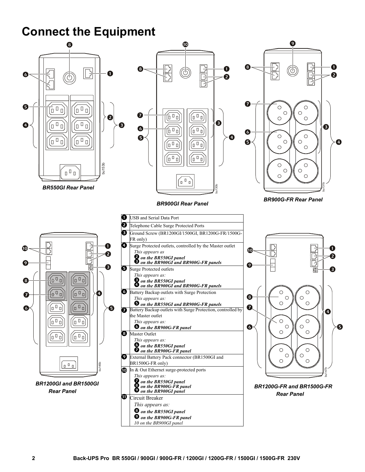## **Connect the Equipment**

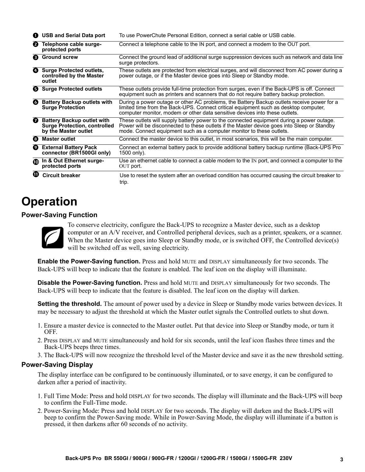| o | <b>USB and Serial Data port</b>                                                                  | To use PowerChute Personal Edition, connect a serial cable or USB cable.                                                                                                                                                                                          |
|---|--------------------------------------------------------------------------------------------------|-------------------------------------------------------------------------------------------------------------------------------------------------------------------------------------------------------------------------------------------------------------------|
| 0 | Telephone cable surge-<br>protected ports                                                        | Connect a telephone cable to the IN port, and connect a modem to the OUT port.                                                                                                                                                                                    |
| ❸ | <b>Ground screw</b>                                                                              | Connect the ground lead of additional surge suppression devices such as network and data line<br>surge protectors.                                                                                                                                                |
| ø | <b>Surge Protected outlets,</b><br>controlled by the Master<br>outlet                            | These outlets are protected from electrical surges, and will disconnect from AC power during a<br>power outage, or if the Master device goes into Sleep or Standby mode.                                                                                          |
|   | <b>6</b> Surge Protected outlets                                                                 | These outlets provide full-time protection from surges, even if the Back-UPS is off. Connect<br>equipment such as printers and scanners that do not require battery backup protection.                                                                            |
| Ø | <b>Battery Backup outlets with</b><br><b>Surge Protection</b>                                    | During a power outage or other AC problems, the Battery Backup outlets receive power for a<br>limited time from the Back-UPS. Connect critical equipment such as desktop computer,<br>computer monitor, modem or other data sensitive devices into these outlets. |
| ❼ | <b>Battery Backup outlet with</b><br><b>Surge Protection, controlled</b><br>by the Master outlet | These outlets will supply battery power to the connected equipment during a power outage.<br>Power will be disconnected to these outlets if the Master device goes into Sleep or Standby<br>mode. Connect equipment such as a computer monitor to these outlets.  |
| ❸ | <b>Master outlet</b>                                                                             | Connect the master device to this outlet, in most scenarios, this will be the main computer.                                                                                                                                                                      |
| Ø | <b>External Battery Pack</b><br>connector (BR1500GI only)                                        | Connect an external battery pack to provide additional battery backup runtime (Back-UPS Pro<br>1500 only).                                                                                                                                                        |
| ൈ | In & Out Ethernet surge-<br>protected ports                                                      | Use an ethernet cable to connect a cable modem to the IN port, and connect a computer to the<br>OUT port.                                                                                                                                                         |
| − | <b>Circuit breaker</b>                                                                           | Use to reset the system after an overload condition has occurred causing the circuit breaker to<br>trip.                                                                                                                                                          |

### **Operation**

#### **Power-Saving Function**



To conserve electricity, configure the Back-UPS to recognize a Master device, such as a desktop computer or an A/V receiver, and Controlled peripheral devices, such as a printer, speakers, or a scanner. When the Master device goes into Sleep or Standby mode, or is switched OFF, the Controlled device(s) will be switched off as well, saving electricity.

**Enable the Power-Saving function.** Press and hold MUTE and DISPLAY simultaneously for two seconds. The Back-UPS will beep to indicate that the feature is enabled. The leaf icon on the display will illuminate.

**Disable the Power-Saving function.** Press and hold MUTE and DISPLAY simultaneously for two seconds. The Back-UPS will beep to indicate that the feature is disabled. The leaf icon on the display will darken.

**Setting the threshold.** The amount of power used by a device in Sleep or Standby mode varies between devices. It may be necessary to adjust the threshold at which the Master outlet signals the Controlled outlets to shut down.

- 1. Ensure a master device is connected to the Master outlet. Put that device into Sleep or Standby mode, or turn it OFF.
- 2. Press DISPLAY and MUTE simultaneously and hold for six seconds, until the leaf icon flashes three times and the Back-UPS beeps three times.
- 3. The Back-UPS will now recognize the threshold level of the Master device and save it as the new threshold setting.

#### **Power-Saving Display**

The display interface can be configured to be continuously illuminated, or to save energy, it can be configured to darken after a period of inactivity.

- 1. Full Time Mode: Press and hold DISPLAY for two seconds. The display will illuminate and the Back-UPS will beep to confirm the Full-Time mode.
- 2. Power-Saving Mode: Press and hold DISPLAY for two seconds. The display will darken and the Back-UPS will beep to confirm the Power-Saving mode. While in Power-Saving Mode, the display will illuminate if a button is pressed, it then darkens after 60 seconds of no activity.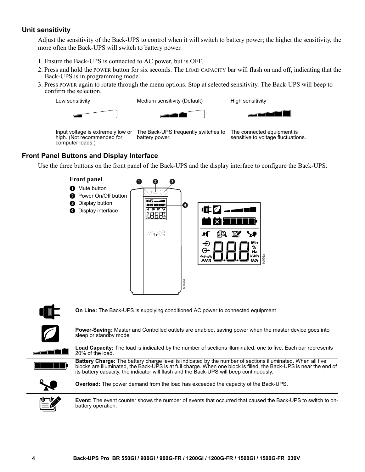#### **Unit sensitivity**

Adjust the sensitivity of the Back-UPS to control when it will switch to battery power; the higher the sensitivity, the more often the Back-UPS will switch to battery power.

- 1. Ensure the Back-UPS is connected to AC power, but is OFF.
- 2. Press and hold the POWER button for six seconds. The LOAD CAPACITY bar will flash on and off, indicating that the Back-UPS is in programming mode.
- 3. Press POWER again to rotate through the menu options. Stop at selected sensitivity. The Back-UPS will beep to confirm the selection.

Low sensitivity **Medium sensitivity (Default)** High sensitivity





Input voltage is extremely low or high. (Not recommended for computer loads.)

The Back-UPS frequently switches to The connected equipment is battery power.

sensitive to voltage fluctuations.

#### **Front Panel Buttons and Display Interface**

Use the three buttons on the front panel of the Back-UPS and the display interface to configure the Back-UPS.



**Power-Saving:** Master and Controlled outlets are enabled, saving power when the master device goes into sleep or standby mode

| Load Capacity: The load is indicated by the number of sections illuminated, one to five. Each bar represents<br>20% of the load. |  |  |  |  |  |  |  |   |   |  |
|----------------------------------------------------------------------------------------------------------------------------------|--|--|--|--|--|--|--|---|---|--|
|                                                                                                                                  |  |  |  |  |  |  |  | . | . |  |

**Battery Charge:** The battery charge level is indicated by the number of sections illuminated. When all five a kata blocks are illuminated, the Back-UPS is at full charge. When one block is filled, the Back-UPS is near the end of its battery capacity, the indicator will flash and the Back-UPS will beep continuously.



**Overload:** The power demand from the load has exceeded the capacity of the Back-UPS.

**Event:** The event counter shows the number of events that occurred that caused the Back-UPS to switch to on-<br>battery operation.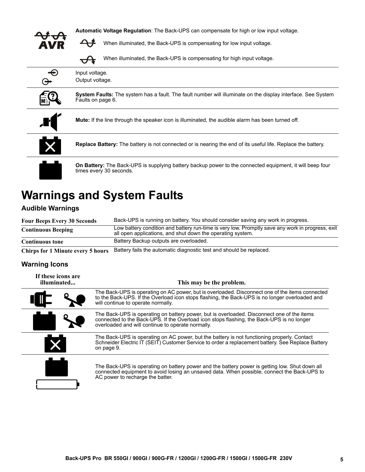| <b>Automatic Voltage Regulation:</b> The Back-UPS can compensate for high or low input voltage.                                            |  |  |  |  |  |  |  |  |
|--------------------------------------------------------------------------------------------------------------------------------------------|--|--|--|--|--|--|--|--|
| When illuminated, the Back-UPS is compensating for low input voltage.                                                                      |  |  |  |  |  |  |  |  |
| When illuminated, the Back-UPS is compensating for high input voltage.                                                                     |  |  |  |  |  |  |  |  |
| Input voltage.<br>Output voltage.                                                                                                          |  |  |  |  |  |  |  |  |
| <b>System Faults:</b> The system has a fault. The fault number will illuminate on the display interface. See System<br>Faults on page 6.   |  |  |  |  |  |  |  |  |
| <b>Mute:</b> If the line through the speaker icon is illuminated, the audible alarm has been turned off.                                   |  |  |  |  |  |  |  |  |
| <b>Replace Battery:</b> The battery is not connected or is nearing the end of its useful life. Replace the battery.                        |  |  |  |  |  |  |  |  |
| <b>On Battery:</b> The Back-UPS is supplying battery backup power to the connected equipment, it will beep four<br>times every 30 seconds. |  |  |  |  |  |  |  |  |

# **Warnings and System Faults**

#### **Audible Warnings**

| <b>Four Beeps Every 30 Seconds</b> | Back-UPS is running on battery. You should consider saving any work in progress.                                                                               |
|------------------------------------|----------------------------------------------------------------------------------------------------------------------------------------------------------------|
| <b>Continuous Beeping</b>          | Low battery condition and battery run-time is very low. Promptly save any work in progress, exit<br>all open applications, and shut down the operating system. |
| <b>Continuous tone</b>             | Battery Backup outputs are overloaded.                                                                                                                         |

**Chirps for 1 Minute every 5 hours** Battery fails the automatic diagnostic test and should be replaced.

### **Warning Icons**

| If these icons are<br>illuminated | This may be the problem.                                                                                                                                                                                                                     |  |  |  |  |  |  |  |
|-----------------------------------|----------------------------------------------------------------------------------------------------------------------------------------------------------------------------------------------------------------------------------------------|--|--|--|--|--|--|--|
|                                   | The Back-UPS is operating on AC power, but is overloaded. Disconnect one of the items connected<br>to the Back-UPS. If the Overload icon stops flashing, the Back-UPS is no longer overloaded and<br>will continue to operate normally.      |  |  |  |  |  |  |  |
|                                   | The Back-UPS is operating on battery power, but is overloaded. Disconnect one of the items<br>connected to the Back-UPS. If the Overload icon stops flashing, the Back-UPS is no longer<br>overloaded and will continue to operate normally. |  |  |  |  |  |  |  |
|                                   | The Back-UPS is operating on AC power, but the battery is not functioning properly. Contact<br>Schneider Electric IT (SEIT) Customer Service to order a replacement battery. See Replace Battery<br>on page 9.                               |  |  |  |  |  |  |  |
|                                   | The Back-UPS is operating on battery power and the battery power is getting low. Shut down all<br>connected equipment to avoid losing an unsaved data. When possible, connect the Back-UPS to<br>AC power to recharge the batter.            |  |  |  |  |  |  |  |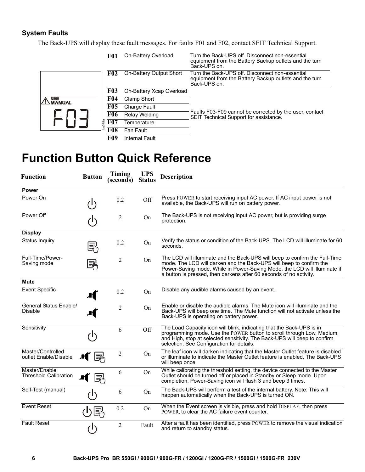#### **System Faults**

The Back-UPS will display these fault messages. For faults F01 and F02, contact SEIT Technical Support.

|                             | <b>F01</b>    | On-Battery Overload      | Turn the Back-UPS off. Disconnect non-essential<br>equipment from the Battery Backup outlets and the turn<br>Back-UPS on. |
|-----------------------------|---------------|--------------------------|---------------------------------------------------------------------------------------------------------------------------|
|                             | <b>F02</b>    | On-Battery Output Short  | Turn the Back-UPS off. Disconnect non-essential<br>equipment from the Battery Backup outlets and the turn<br>Back-UPS on. |
|                             | <b>F03</b>    | On-Battery Xcap Overload |                                                                                                                           |
| <b>SEE</b><br><b>MANUAL</b> | F04           | Clamp Short              |                                                                                                                           |
|                             | <b>F05</b>    | Charge Fault             |                                                                                                                           |
|                             | <b>F06</b>    | <b>Relay Welding</b>     | Faults F03-F09 cannot be corrected by the user, contact<br>SEIT Technical Support for assistance.                         |
|                             | bu088a<br>F07 | Temperature              |                                                                                                                           |
|                             | F08           | Fan Fault                |                                                                                                                           |
|                             | F09           | Internal Fault           |                                                                                                                           |

### **Function Button Quick Reference**

| <b>Function</b>                               | <b>Button</b> | Timing<br>(seconds) | <b>UPS</b><br><b>Status</b> | <b>Description</b>                                                                                                                                                                                                                                                                                    |
|-----------------------------------------------|---------------|---------------------|-----------------------------|-------------------------------------------------------------------------------------------------------------------------------------------------------------------------------------------------------------------------------------------------------------------------------------------------------|
| <b>Power</b>                                  |               |                     |                             |                                                                                                                                                                                                                                                                                                       |
| Power On                                      |               | 0.2                 | Off                         | Press POWER to start receiving input AC power. If AC input power is not<br>available, the Back-UPS will run on battery power.                                                                                                                                                                         |
| Power Off                                     |               | 2                   | On                          | The Back-UPS is not receiving input AC power, but is providing surge<br>protection.                                                                                                                                                                                                                   |
| <b>Display</b>                                |               |                     |                             |                                                                                                                                                                                                                                                                                                       |
| Status Inquiry                                | 발             | 0.2                 | On                          | Verify the status or condition of the Back-UPS. The LCD will illuminate for 60<br>seconds.                                                                                                                                                                                                            |
| Full-Time/Power-<br>Saving mode               | 릜             | 2                   | On                          | The LCD will illuminate and the Back-UPS will beep to confirm the Full-Time<br>mode. The LCD will darken and the Back-UPS will beep to confirm the<br>Power-Saving mode. While in Power-Saving Mode, the LCD will illuminate if<br>a button is pressed, then darkens after 60 seconds of no activity. |
| <b>Mute</b>                                   |               |                     |                             |                                                                                                                                                                                                                                                                                                       |
| <b>Event Specific</b>                         |               | 0.2                 | On                          | Disable any audible alarms caused by an event.                                                                                                                                                                                                                                                        |
| General Status Enable/<br><b>Disable</b>      | ,FI           | $\overline{2}$      | On                          | Enable or disable the audible alarms. The Mute icon will illuminate and the<br>Back-UPS will beep one time. The Mute function will not activate unless the<br>Back-UPS is operating on battery power.                                                                                                 |
| Sensitivity                                   |               | 6                   | Off                         | The Load Capacity icon will blink, indicating that the Back-UPS is in<br>programming mode. Use the POWER button to scroll through Low, Medium,<br>and High, stop at selected sensitivity. The Back-UPS will beep to confirm<br>selection. See Configuration for details.                              |
| Master/Controlled<br>outlet Enable/Disable    |               | $\overline{2}$      | On                          | The leaf icon will darken indicating that the Master Outlet feature is disabled<br>or illuminate to indicate the Master Outlet feature is enabled. The Back-UPS<br>will beep once.                                                                                                                    |
| Master/Enable<br><b>Threshold Calibration</b> |               | 6                   | On                          | While calibrating the threshold setting, the device connected to the Master<br>Outlet should be turned off or placed in Standby or Sleep mode. Upon<br>completion, Power-Saving icon will flash 3 and beep 3 times.                                                                                   |
| Self-Test (manual)                            |               | 6                   | On                          | The Back-UPS will perform a test of the internal battery. Note: This will<br>happen automatically when the Back-UPS is turned ON.                                                                                                                                                                     |
| <b>Event Reset</b>                            | 国             | 0.2                 | On                          | When the Event screen is visible, press and hold DISPLAY, then press<br>POWER, to clear the AC failure event counter.                                                                                                                                                                                 |
| <b>Fault Reset</b>                            |               | $\overline{2}$      | Fault                       | After a fault has been identified, press POWER to remove the visual indication<br>and return to standby status.                                                                                                                                                                                       |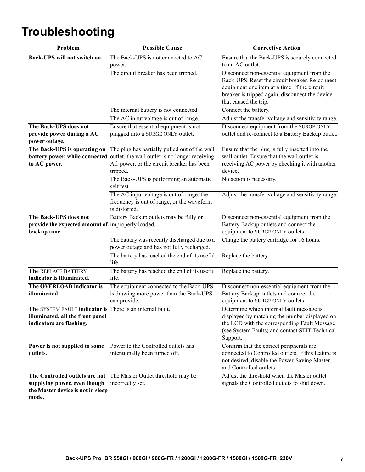# **Troubleshooting**

| Problem                                                                                                                   | <b>Possible Cause</b>                                                                                                                                                                   | <b>Corrective Action</b>                                                                                                                                                                                                   |
|---------------------------------------------------------------------------------------------------------------------------|-----------------------------------------------------------------------------------------------------------------------------------------------------------------------------------------|----------------------------------------------------------------------------------------------------------------------------------------------------------------------------------------------------------------------------|
| Back-UPS will not switch on.                                                                                              | The Back-UPS is not connected to AC<br>power.                                                                                                                                           | Ensure that the Back-UPS is securely connected<br>to an AC outlet.                                                                                                                                                         |
|                                                                                                                           | The circuit breaker has been tripped.                                                                                                                                                   | Disconnect non-essential equipment from the<br>Back-UPS. Reset the circuit breaker. Re-connect<br>equipment one item at a time. If the circuit<br>breaker is tripped again, disconnect the device<br>that caused the trip. |
|                                                                                                                           | The internal battery is not connected.                                                                                                                                                  | Connect the battery.                                                                                                                                                                                                       |
|                                                                                                                           | The AC input voltage is out of range.                                                                                                                                                   | Adjust the transfer voltage and sensitivity range.                                                                                                                                                                         |
| The Back-UPS does not<br>provide power during a AC<br>power outage.                                                       | Ensure that essential equipment is not<br>plugged into a SURGE ONLY outlet.                                                                                                             | Disconnect equipment from the SURGE ONLY<br>outlet and re-connect to a Battery Backup outlet.                                                                                                                              |
| The Back-UPS is operating on<br>to AC power.                                                                              | The plug has partially pulled out of the wall<br>battery power, while connected outlet, the wall outlet is no longer receiving<br>AC power, or the circuit breaker has been<br>tripped. | Ensure that the plug is fully inserted into the<br>wall outlet. Ensure that the wall outlet is<br>receiving AC power by checking it with another<br>device.                                                                |
|                                                                                                                           | The Back-UPS is performing an automatic<br>self test.                                                                                                                                   | No action is necessary.                                                                                                                                                                                                    |
|                                                                                                                           | The AC input voltage is out of range, the<br>frequency is out of range, or the waveform<br>is distorted.                                                                                | Adjust the transfer voltage and sensitivity range.                                                                                                                                                                         |
| The Back-UPS does not<br>provide the expected amount of improperly loaded.<br>backup time.                                | Battery Backup outlets may be fully or                                                                                                                                                  | Disconnect non-essential equipment from the<br>Battery Backup outlets and connect the<br>equipment to SURGE ONLY outlets.                                                                                                  |
|                                                                                                                           | The battery was recently discharged due to a<br>power outage and has not fully recharged.                                                                                               | Charge the battery cartridge for 16 hours.                                                                                                                                                                                 |
|                                                                                                                           | The battery has reached the end of its useful<br>life.                                                                                                                                  | Replace the battery.                                                                                                                                                                                                       |
| The REPLACE BATTERY<br>indicator is illuminated.                                                                          | The battery has reached the end of its useful<br>life.                                                                                                                                  | Replace the battery.                                                                                                                                                                                                       |
| The OVERLOAD indicator is<br>illuminated.                                                                                 | The equipment connected to the Back-UPS<br>is drawing more power than the Back-UPS<br>can provide.                                                                                      | Disconnect non-essential equipment from the<br>Battery Backup outlets and connect the<br>equipment to SURGE ONLY outlets.                                                                                                  |
| The SYSTEM FAULT indicator is There is an internal fault.<br>illuminated, all the front panel<br>indicators are flashing. |                                                                                                                                                                                         | Determine which internal fault message is<br>displayed by matching the number displayed on<br>the LCD with the corresponding Fault Message<br>(see System Faults) and contact SEIT Technical<br>Support.                   |
| Power is not supplied to some<br>outlets.                                                                                 | Power to the Controlled outlets has<br>intentionally been turned off.                                                                                                                   | Confirm that the correct peripherals are<br>connected to Controlled outlets. If this feature is<br>not desired, disable the Power-Saving Master<br>and Controlled outlets.                                                 |
| supplying power, even though<br>the Master device is not in sleep<br>mode.                                                | The Controlled outlets are not The Master Outlet threshold may be<br>incorrectly set.                                                                                                   | Adjust the threshold when the Master outlet<br>signals the Controlled outlets to shut down.                                                                                                                                |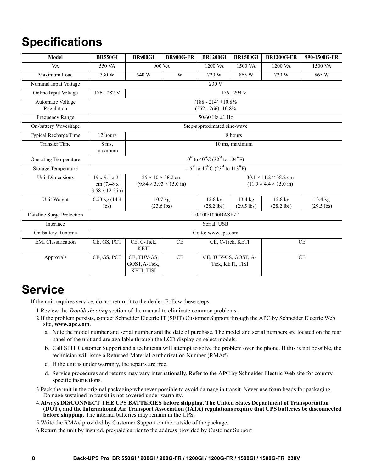## **Specifications**

| Model                           | <b>BR550GI</b>                                                           | <b>BR900GI</b>                                                          | <b>BR900G-FR</b>                                                             | <b>BR1200GI</b>                                                                 | <b>BR1500GI</b>                   | <b>BR1200G-FR</b>         | 990-1500G-FR            |  |  |
|---------------------------------|--------------------------------------------------------------------------|-------------------------------------------------------------------------|------------------------------------------------------------------------------|---------------------------------------------------------------------------------|-----------------------------------|---------------------------|-------------------------|--|--|
| <b>VA</b>                       | 550 VA                                                                   |                                                                         | 900 VA                                                                       | 1200 VA                                                                         | 1500 VA                           | 1200 VA                   | 1500 VA                 |  |  |
| Maximum Load                    | 330 W                                                                    | 540 W                                                                   | W                                                                            | 720 W                                                                           | 865 W                             | 720 W                     | 865 W                   |  |  |
| Nominal Input Voltage           |                                                                          |                                                                         |                                                                              | 230 V                                                                           |                                   |                           |                         |  |  |
| Online Input Voltage            | 176 - 282 V<br>176 - 294 V                                               |                                                                         |                                                                              |                                                                                 |                                   |                           |                         |  |  |
| Automatic Voltage<br>Regulation |                                                                          | $(188 - 214) + 10.8\%$<br>$(252 - 266) - 10.8\%$                        |                                                                              |                                                                                 |                                   |                           |                         |  |  |
| Frequency Range                 |                                                                          |                                                                         |                                                                              | 50/60 Hz $\pm$ 1 Hz                                                             |                                   |                           |                         |  |  |
| On-battery Waveshape            |                                                                          |                                                                         |                                                                              | Step-approximated sine-wave                                                     |                                   |                           |                         |  |  |
| Typical Recharge Time           | 12 hours                                                                 |                                                                         |                                                                              |                                                                                 | 8 hours                           |                           |                         |  |  |
| <b>Transfer Time</b>            | 8 ms,<br>maximum                                                         | 10 ms, maximum                                                          |                                                                              |                                                                                 |                                   |                           |                         |  |  |
| <b>Operating Temperature</b>    | $0^{\circ}$ to 40 <sup>°</sup> C (32 <sup>°</sup> to 104 <sup>°</sup> F) |                                                                         |                                                                              |                                                                                 |                                   |                           |                         |  |  |
| Storage Temperature             |                                                                          | $-15^{\circ}$ to $45^{\circ}$ C (23 <sup>°</sup> to 113 <sup>°</sup> F) |                                                                              |                                                                                 |                                   |                           |                         |  |  |
| <b>Unit Dimensions</b>          | $19 \times 9.1 \times 31$<br>cm (7.48 x)<br>$3.58 \times 12.2$ in)       |                                                                         | $25 \times 10 \times 38.2$ cm<br>$(9.84 \times 3.93 \times 15.0 \text{ in})$ | $30.1 \times 11.2 \times 38.2$ cm<br>$(11.9 \times 4.4 \times 15.0 \text{ in})$ |                                   |                           |                         |  |  |
| Unit Weight                     | 6.53 kg $(14.4)$<br>lbs)                                                 |                                                                         | $10.7$ kg<br>$(23.6$ lbs)                                                    | $12.8$ kg<br>$(28.2$ lbs)                                                       | $13.4 \text{ kg}$<br>$(29.5$ lbs) | $12.8$ kg<br>$(28.2$ lbs) | 13.4 kg<br>$(29.5$ lbs) |  |  |
| Dataline Surge Protection       | 10/100/1000BASE-T                                                        |                                                                         |                                                                              |                                                                                 |                                   |                           |                         |  |  |
| Interface                       | Serial, USB                                                              |                                                                         |                                                                              |                                                                                 |                                   |                           |                         |  |  |
| On-battery Runtime              | Go to: www.apc.com                                                       |                                                                         |                                                                              |                                                                                 |                                   |                           |                         |  |  |
| <b>EMI</b> Classification       | CE, GS, PCT                                                              | CE, C-Tick,<br><b>KETI</b>                                              | CE                                                                           | CE, C-Tick, KETI                                                                |                                   | CE                        |                         |  |  |
| Approvals                       | CE, GS, PCT                                                              | CE, TUV-GS,<br>GOST, A-Tick,<br>KETI, TISI                              | CE                                                                           | CE, TUV-GS, GOST, A-<br>Tick, KETI, TISI                                        |                                   | <b>CE</b>                 |                         |  |  |

### **Service**

If the unit requires service, do not return it to the dealer. Follow these steps:

- 1.Review the *Troubleshooting* section of the manual to eliminate common problems.
- 2.If the problem persists, contact Schneider Electric IT (SEIT) Customer Support through the APC by Schneider Electric Web site, **www.apc.com**.
	- a. Note the model number and serial number and the date of purchase. The model and serial numbers are located on the rear panel of the unit and are available through the LCD display on select models.
	- b. Call SEIT Customer Support and a technician will attempt to solve the problem over the phone. If this is not possible, the technician will issue a Returned Material Authorization Number (RMA#).
	- c. If the unit is under warranty, the repairs are free.
	- d. Service procedures and returns may vary internationally. Refer to the APC by Schneider Electric Web site for country specific instructions.
- 3.Pack the unit in the original packaging whenever possible to avoid damage in transit. Never use foam beads for packaging. Damage sustained in transit is not covered under warranty.
- 4.**Always DISCONNECT THE UPS BATTERIES before shipping. The United States Department of Transportation (DOT), and the International Air Transport Association (IATA) regulations require that UPS batteries be disconnected before shipping.** The internal batteries may remain in the UPS.
- 5.Write the RMA# provided by Customer Support on the outside of the package.
- 6.Return the unit by insured, pre-paid carrier to the address provided by Customer Support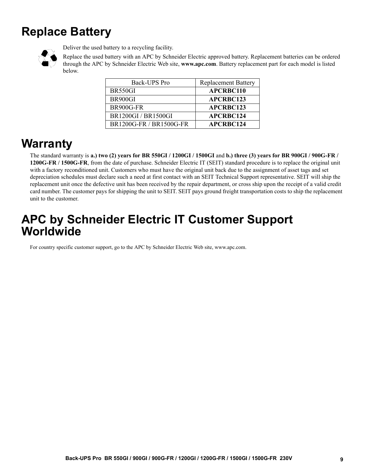# <span id="page-8-0"></span>**Replace Battery**



Deliver the used battery to a recycling facility.

Replace the used battery with an APC by Schneider Electric approved battery. Replacement batteries can be ordered through the APC by Schneider Electric Web site, **www.apc.com**. Battery replacement part for each model is listed below.

| Back-UPS Pro            | <b>Replacement Battery</b> |
|-------------------------|----------------------------|
| BR550GI                 | <b>APCRBC110</b>           |
| BR900GI                 | <b>APCRBC123</b>           |
| BR900G-FR               | APCRBC123                  |
| BR1200GI / BR1500GI     | <b>APCRBC124</b>           |
| BR1200G-FR / BR1500G-FR | <b>APCRBC124</b>           |

### **Warranty**

The standard warranty is **a.) two (2) years for BR 550GI / 1200GI / 1500GI** and **b.) three (3) years for BR 900GI / 900G-FR / 1200G-FR / 1500G-FR**, from the date of purchase. Schneider Electric IT (SEIT) standard procedure is to replace the original unit with a factory reconditioned unit. Customers who must have the original unit back due to the assignment of asset tags and set depreciation schedules must declare such a need at first contact with an SEIT Technical Support representative. SEIT will ship the replacement unit once the defective unit has been received by the repair department, or cross ship upon the receipt of a valid credit card number. The customer pays for shipping the unit to SEIT. SEIT pays ground freight transportation costs to ship the replacement unit to the customer.

### **APC by Schneider Electric IT Customer Support Worldwide**

For country specific customer support, go to the APC by Schneider Electric Web site, www.apc.com.